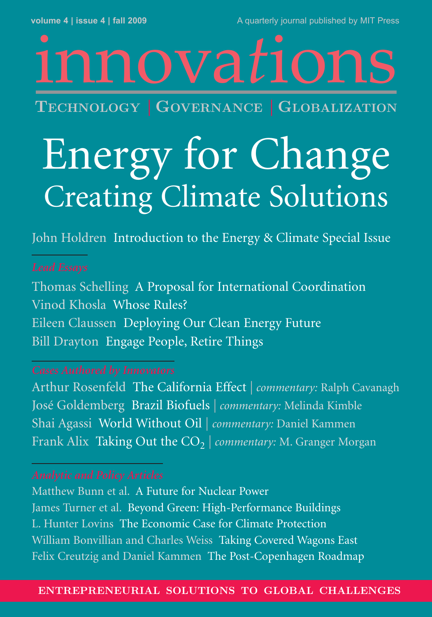**volume 4 | issue 4 | fall 2009** A quarterly journal published by MIT Press

# innova*t*ions

TECHNOLOGY | GOVERNANCE | GLOBALIZATION

# Energy for Change Creating Climate Solutions

John Holdren Introduction to the Energy & Climate Special Issue

Thomas Schelling A Proposal for International Coordination Vinod Khosla Whose Rules? Eileen Claussen Deploying Our Clean Energy Future Bill Drayton Engage People, Retire Things

Arthur Rosenfeld The California Effect | *commentary:* Ralph Cavanagh José Goldemberg Brazil Biofuels | *commentary:* Melinda Kimble Shai Agassi World Without Oil | *commentary:* Daniel Kammen Frank Alix Taking Out the CO<sub>2</sub> | *commentary*: M. Granger Morgan

Matthew Bunn et al. A Future for Nuclear Power James Turner et al. Beyond Green: High-Performance Buildings L. Hunter Lovins The Economic Case for Climate Protection William Bonvillian and Charles Weiss Taking Covered Wagons East Felix Creutzig and Daniel Kammen The Post-Copenhagen Roadmap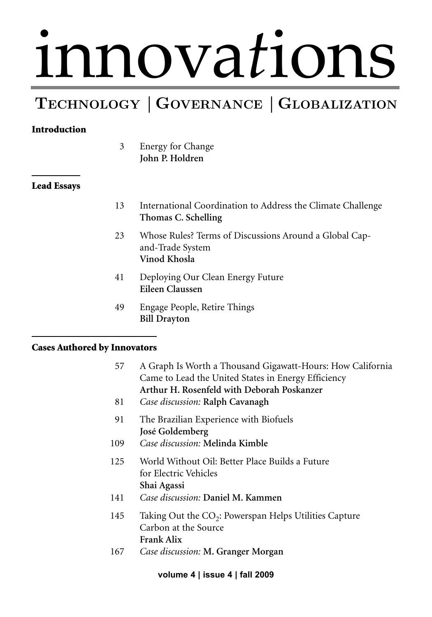# innova*t*ions

### TECHNOLOGY | GOVERNANCE | GLOBALIZATION

#### Introduction

3 Energy for Change **John P. Holdren**

#### Lead Essays

- 13 International Coordination to Address the Climate Challenge **Thomas C. Schelling**
- 23 Whose Rules? Terms of Discussions Around a Global Capand-Trade System **Vinod Khosla**
- 41 Deploying Our Clean Energy Future **Eileen Claussen**
- 49 Engage People, Retire Things **Bill Drayton**

#### Cases Authored by Innovators

- 57 A Graph Is Worth a Thousand Gigawatt-Hours: How California Came to Lead the United States in Energy Efficiency **Arthur H. Rosenfeld with Deborah Poskanzer** 81 *Case discussion:* **Ralph Cavanagh** 91 The Brazilian Experience with Biofuels **José Goldemberg** 109 *Case discussion:* **Melinda Kimble** 125 World Without Oil: Better Place Builds a Future for Electric Vehicles **Shai Agassi** 141 *Case discussion:* **Daniel M. Kammen** 145 Taking Out the  $CO<sub>2</sub>$ : Powerspan Helps Utilities Capture
- Carbon at the Source **Frank Alix**
- 167 *Case discussion:* **M. Granger Morgan**

#### **volume 4 | issue 4 | fall 2009**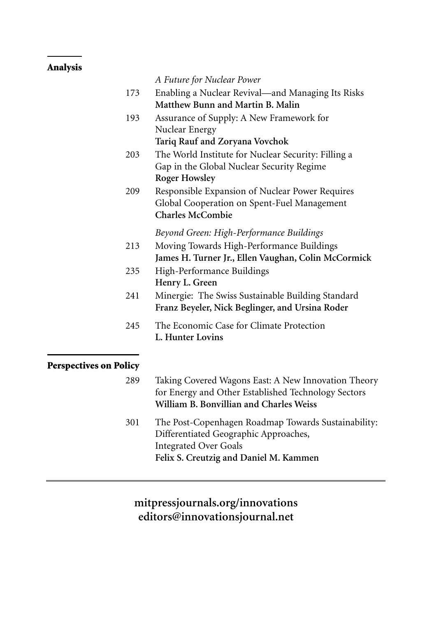#### Analysis

|                               | A Future for Nuclear Power                          |
|-------------------------------|-----------------------------------------------------|
| 173                           | Enabling a Nuclear Revival—and Managing Its Risks   |
|                               | Matthew Bunn and Martin B. Malin                    |
| 193                           | Assurance of Supply: A New Framework for            |
|                               | Nuclear Energy                                      |
|                               | Tariq Rauf and Zoryana Vovchok                      |
| 203                           | The World Institute for Nuclear Security: Filling a |
|                               | Gap in the Global Nuclear Security Regime           |
|                               | <b>Roger Howsley</b>                                |
| 209                           | Responsible Expansion of Nuclear Power Requires     |
|                               | Global Cooperation on Spent-Fuel Management         |
|                               | <b>Charles McCombie</b>                             |
|                               | Beyond Green: High-Performance Buildings            |
| 213                           | Moving Towards High-Performance Buildings           |
|                               | James H. Turner Jr., Ellen Vaughan, Colin McCormick |
| 235                           | High-Performance Buildings                          |
|                               | Henry L. Green                                      |
| 241                           | Minergie: The Swiss Sustainable Building Standard   |
|                               | Franz Beyeler, Nick Beglinger, and Ursina Roder     |
| 245                           | The Economic Case for Climate Protection            |
|                               | L. Hunter Lovins                                    |
|                               |                                                     |
| <b>Perspectives on Policy</b> |                                                     |
| 289                           | Taking Covered Wagons East: A New Innovation Theory |
|                               | for Energy and Other Established Technology Sectors |

**William B. Bonvillian and Charles Weiss** 301 The Post-Copenhagen Roadmap Towards Sustainability: Differentiated Geographic Approaches, Integrated Over Goals **Felix S. Creutzig and Daniel M. Kammen**

### **mitpressjournals.org/innovations editors@innovationsjournal.net**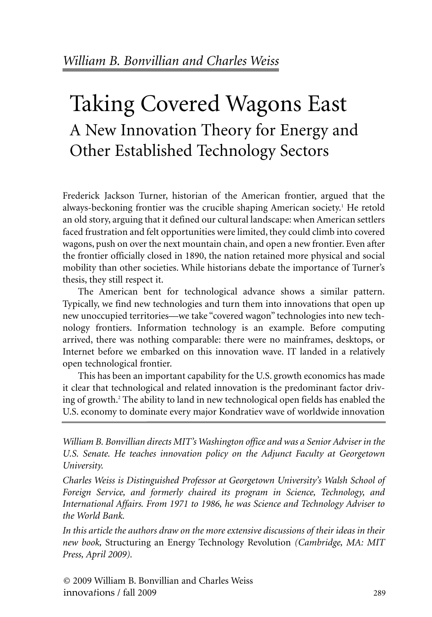## Taking Covered Wagons East A New Innovation Theory for Energy and Other Established Technology Sectors

Frederick Jackson Turner, historian of the American frontier, argued that the always-beckoning frontier was the crucible shaping American society. <sup>1</sup> He retold an old story, arguing that it defined our cultural landscape: when American settlers faced frustration and felt opportunities were limited, they could climb into covered wagons, push on over the next mountain chain, and open a new frontier. Even after the frontier officially closed in 1890, the nation retained more physical and social mobility than other societies. While historians debate the importance of Turner's thesis, they still respect it.

The American bent for technological advance shows a similar pattern. Typically, we find new technologies and turn them into innovations that open up new unoccupied territories—we take "covered wagon" technologies into new technology frontiers. Information technology is an example. Before computing arrived, there was nothing comparable: there were no mainframes, desktops, or Internet before we embarked on this innovation wave. IT landed in a relatively open technological frontier.

This has been an important capability for the U.S. growth economics has made it clear that technological and related innovation is the predominant factor driving of growth. <sup>2</sup> The ability to land in new technological open fields has enabled the U.S. economy to dominate every major Kondratiev wave of worldwide innovation

*William B. Bonvillian directs MIT's Washington office and was a Senior Adviser in the U.S. Senate. He teaches innovation policy on the Adjunct Faculty at Georgetown University.*

*Charles Weiss is Distinguished Professor at Georgetown University's Walsh School of Foreign Service, and formerly chaired its program in Science, Technology, and International Affairs. From 1971 to 1986, he was Science and Technology Adviser to the World Bank.*

*In this article the authors draw on the more extensive discussions of their ideas in their new book,* Structuring an Energy Technology Revolution *(Cambridge, MA: MIT Press, April 2009).*

© 2009 William B. Bonvillian and Charles Weiss innova*!*ions / fall 2009 289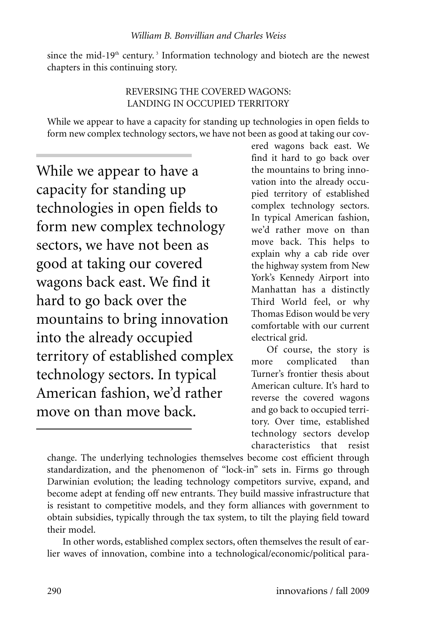since the mid-19<sup>th</sup> century.<sup>3</sup> Information technology and biotech are the newest chapters in this continuing story.

#### REVERSING THE COVERED WAGONS: LANDING IN OCCUPIED TERRITORY

While we appear to have a capacity for standing up technologies in open fields to form new complex technology sectors, we have not been as good at taking our cov-

While we appear to have a capacity for standing up technologies in open fields to form new complex technology sectors, we have not been as good at taking our covered wagons back east. We find it hard to go back over the mountains to bring innovation into the already occupied territory of established complex technology sectors. In typical American fashion, we'd rather move on than move back.

ered wagons back east. We find it hard to go back over the mountains to bring innovation into the already occupied territory of established complex technology sectors. In typical American fashion, we'd rather move on than move back. This helps to explain why a cab ride over the highway system from New York's Kennedy Airport into Manhattan has a distinctly Third World feel, or why Thomas Edison would be very comfortable with our current electrical grid.

Of course, the story is more complicated than Turner's frontier thesis about American culture. It's hard to reverse the covered wagons and go back to occupied territory. Over time, established technology sectors develop characteristics that resist

change. The underlying technologies themselves become cost efficient through standardization, and the phenomenon of "lock-in" sets in. Firms go through Darwinian evolution; the leading technology competitors survive, expand, and become adept at fending off new entrants. They build massive infrastructure that is resistant to competitive models, and they form alliances with government to obtain subsidies, typically through the tax system, to tilt the playing field toward their model.

In other words, established complex sectors, often themselves the result of earlier waves of innovation, combine into a technological/economic/political para-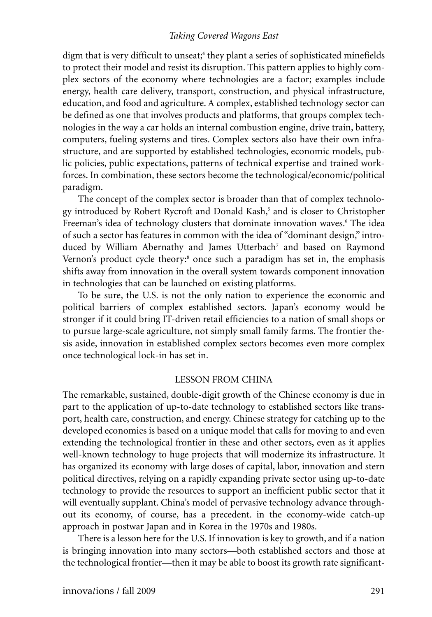#### *Taking Covered Wagons East*

digm that is very difficult to unseat;<sup>4</sup> they plant a series of sophisticated minefields to protect their model and resist its disruption. This pattern applies to highly complex sectors of the economy where technologies are a factor; examples include energy, health care delivery, transport, construction, and physical infrastructure, education, and food and agriculture. A complex, established technology sector can be defined as one that involves products and platforms, that groups complex technologies in the way a car holds an internal combustion engine, drive train, battery, computers, fueling systems and tires. Complex sectors also have their own infrastructure, and are supported by established technologies, economic models, public policies, public expectations, patterns of technical expertise and trained workforces. In combination, these sectors become the technological/economic/political paradigm.

The concept of the complex sector is broader than that of complex technology introduced by Robert Rycroft and Donald Kash,<sup>5</sup> and is closer to Christopher Freeman's idea of technology clusters that dominate innovation waves. <sup>6</sup> The idea of such a sector has features in common with the idea of "dominant design," introduced by William Abernathy and James Utterbach<sup>7</sup> and based on Raymond Vernon's product cycle theory: <sup>8</sup> once such a paradigm has set in, the emphasis shifts away from innovation in the overall system towards component innovation in technologies that can be launched on existing platforms.

To be sure, the U.S. is not the only nation to experience the economic and political barriers of complex established sectors. Japan's economy would be stronger if it could bring IT-driven retail efficiencies to a nation of small shops or to pursue large-scale agriculture, not simply small family farms. The frontier thesis aside, innovation in established complex sectors becomes even more complex once technological lock-in has set in.

#### LESSON FROM CHINA

The remarkable, sustained, double-digit growth of the Chinese economy is due in part to the application of up-to-date technology to established sectors like transport, health care, construction, and energy. Chinese strategy for catching up to the developed economies is based on a unique model that calls for moving to and even extending the technological frontier in these and other sectors, even as it applies well-known technology to huge projects that will modernize its infrastructure. It has organized its economy with large doses of capital, labor, innovation and stern political directives, relying on a rapidly expanding private sector using up-to-date technology to provide the resources to support an inefficient public sector that it will eventually supplant. China's model of pervasive technology advance throughout its economy, of course, has a precedent. in the economy-wide catch-up approach in postwar Japan and in Korea in the 1970s and 1980s.

There is a lesson here for the U.S. If innovation is key to growth, and if a nation is bringing innovation into many sectors—both established sectors and those at the technological frontier—then it may be able to boost its growth rate significant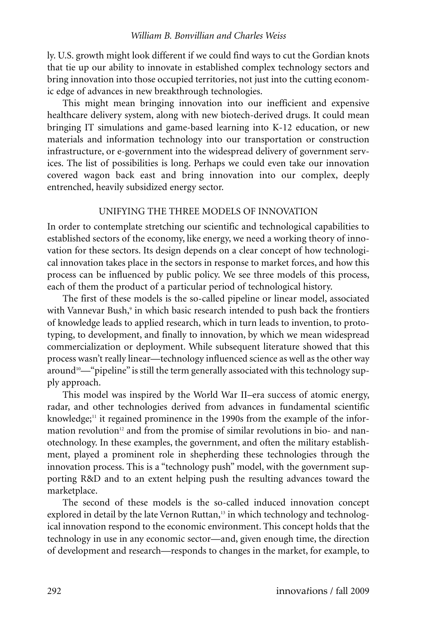ly. U.S. growth might look different if we could find ways to cut the Gordian knots that tie up our ability to innovate in established complex technology sectors and bring innovation into those occupied territories, not just into the cutting economic edge of advances in new breakthrough technologies.

This might mean bringing innovation into our inefficient and expensive healthcare delivery system, along with new biotech-derived drugs. It could mean bringing IT simulations and game-based learning into K-12 education, or new materials and information technology into our transportation or construction infrastructure, or e-government into the widespread delivery of government services. The list of possibilities is long. Perhaps we could even take our innovation covered wagon back east and bring innovation into our complex, deeply entrenched, heavily subsidized energy sector.

#### UNIFYING THE THREE MODELS OF INNOVATION

In order to contemplate stretching our scientific and technological capabilities to established sectors of the economy, like energy, we need a working theory of innovation for these sectors. Its design depends on a clear concept of how technological innovation takes place in the sectors in response to market forces, and how this process can be influenced by public policy. We see three models of this process, each of them the product of a particular period of technological history.

The first of these models is the so-called pipeline or linear model, associated with Vannevar Bush,<sup>9</sup> in which basic research intended to push back the frontiers of knowledge leads to applied research, which in turn leads to invention, to prototyping, to development, and finally to innovation, by which we mean widespread commercialization or deployment. While subsequent literature showed that this process wasn't really linear—technology influenced science as well as the other way around<sup>10</sup>—"pipeline" is still the term generally associated with this technology supply approach.

This model was inspired by the World War II–era success of atomic energy, radar, and other technologies derived from advances in fundamental scientific knowledge;<sup>11</sup> it regained prominence in the 1990s from the example of the information revolution<sup>12</sup> and from the promise of similar revolutions in bio- and nanotechnology. In these examples, the government, and often the military establishment, played a prominent role in shepherding these technologies through the innovation process. This is a "technology push" model, with the government supporting R&D and to an extent helping push the resulting advances toward the marketplace.

The second of these models is the so-called induced innovation concept explored in detail by the late Vernon Ruttan,<sup>13</sup> in which technology and technological innovation respond to the economic environment. This concept holds that the technology in use in any economic sector—and, given enough time, the direction of development and research—responds to changes in the market, for example, to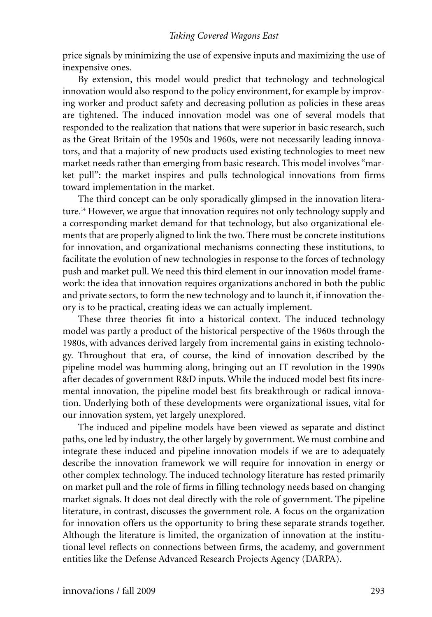price signals by minimizing the use of expensive inputs and maximizing the use of inexpensive ones.

By extension, this model would predict that technology and technological innovation would also respond to the policy environment, for example by improving worker and product safety and decreasing pollution as policies in these areas are tightened. The induced innovation model was one of several models that responded to the realization that nations that were superior in basic research, such as the Great Britain of the 1950s and 1960s, were not necessarily leading innovators, and that a majority of new products used existing technologies to meet new market needs rather than emerging from basic research. This model involves "market pull": the market inspires and pulls technological innovations from firms toward implementation in the market.

The third concept can be only sporadically glimpsed in the innovation literature. <sup>14</sup> However, we argue that innovation requires not only technology supply and a corresponding market demand for that technology, but also organizational elements that are properly aligned to link the two. There must be concrete institutions for innovation, and organizational mechanisms connecting these institutions, to facilitate the evolution of new technologies in response to the forces of technology push and market pull. We need this third element in our innovation model framework: the idea that innovation requires organizations anchored in both the public and private sectors, to form the new technology and to launch it, if innovation theory is to be practical, creating ideas we can actually implement.

These three theories fit into a historical context. The induced technology model was partly a product of the historical perspective of the 1960s through the 1980s, with advances derived largely from incremental gains in existing technology. Throughout that era, of course, the kind of innovation described by the pipeline model was humming along, bringing out an IT revolution in the 1990s after decades of government R&D inputs. While the induced model best fits incremental innovation, the pipeline model best fits breakthrough or radical innovation. Underlying both of these developments were organizational issues, vital for our innovation system, yet largely unexplored.

The induced and pipeline models have been viewed as separate and distinct paths, one led by industry, the other largely by government. We must combine and integrate these induced and pipeline innovation models if we are to adequately describe the innovation framework we will require for innovation in energy or other complex technology. The induced technology literature has rested primarily on market pull and the role of firms in filling technology needs based on changing market signals. It does not deal directly with the role of government. The pipeline literature, in contrast, discusses the government role. A focus on the organization for innovation offers us the opportunity to bring these separate strands together. Although the literature is limited, the organization of innovation at the institutional level reflects on connections between firms, the academy, and government entities like the Defense Advanced Research Projects Agency (DARPA).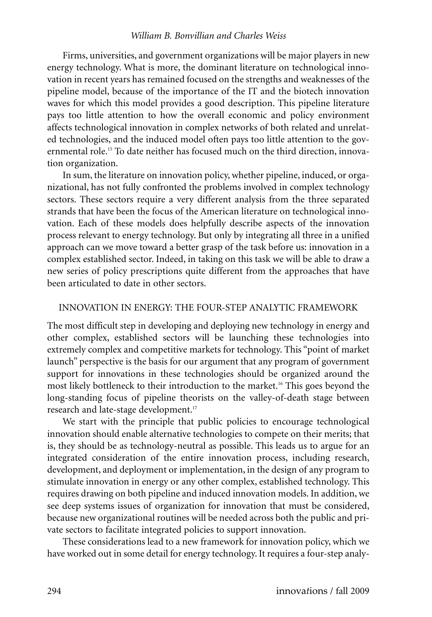#### *William B. Bonvillian and Charles Weiss*

Firms, universities, and government organizations will be major players in new energy technology. What is more, the dominant literature on technological innovation in recent years has remained focused on the strengths and weaknesses of the pipeline model, because of the importance of the IT and the biotech innovation waves for which this model provides a good description. This pipeline literature pays too little attention to how the overall economic and policy environment affects technological innovation in complex networks of both related and unrelated technologies, and the induced model often pays too little attention to the governmental role. <sup>15</sup> To date neither has focused much on the third direction, innovation organization.

In sum, the literature on innovation policy, whether pipeline, induced, or organizational, has not fully confronted the problems involved in complex technology sectors. These sectors require a very different analysis from the three separated strands that have been the focus of the American literature on technological innovation. Each of these models does helpfully describe aspects of the innovation process relevant to energy technology. But only by integrating all three in a unified approach can we move toward a better grasp of the task before us: innovation in a complex established sector. Indeed, in taking on this task we will be able to draw a new series of policy prescriptions quite different from the approaches that have been articulated to date in other sectors.

#### INNOVATION IN ENERGY: THE FOUR-STEP ANALYTIC FRAMEWORK

The most difficult step in developing and deploying new technology in energy and other complex, established sectors will be launching these technologies into extremely complex and competitive markets for technology. This "point of market launch" perspective is the basis for our argument that any program of government support for innovations in these technologies should be organized around the most likely bottleneck to their introduction to the market.<sup>16</sup> This goes beyond the long-standing focus of pipeline theorists on the valley-of-death stage between research and late-stage development. 17

We start with the principle that public policies to encourage technological innovation should enable alternative technologies to compete on their merits; that is, they should be as technology-neutral as possible. This leads us to argue for an integrated consideration of the entire innovation process, including research, development, and deployment or implementation, in the design of any program to stimulate innovation in energy or any other complex, established technology. This requires drawing on both pipeline and induced innovation models. In addition, we see deep systems issues of organization for innovation that must be considered, because new organizational routines will be needed across both the public and private sectors to facilitate integrated policies to support innovation.

These considerations lead to a new framework for innovation policy, which we have worked out in some detail for energy technology. It requires a four-step analy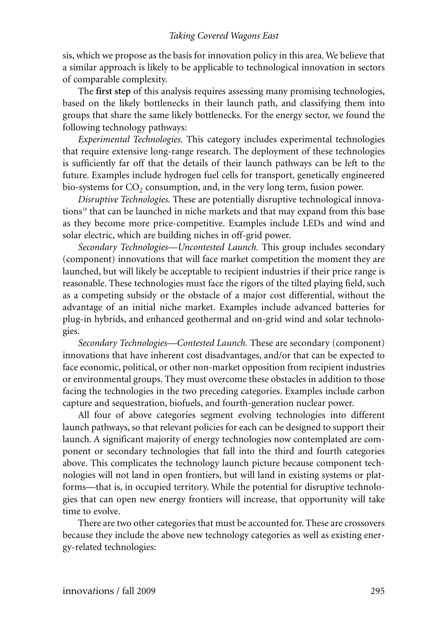sis, which we propose as the basis for innovation policy in this area.We believe that a similar approach is likely to be applicable to technological innovation in sectors of comparable complexity.

The **first step** of this analysis requires assessing many promising technologies, based on the likely bottlenecks in their launch path, and classifying them into groups that share the same likely bottlenecks. For the energy sector, we found the following technology pathways:

*Experimental Technologies.* This category includes experimental technologies that require extensive long-range research. The deployment of these technologies is sufficiently far off that the details of their launch pathways can be left to the future. Examples include hydrogen fuel cells for transport, genetically engineered bio-systems for  $CO<sub>2</sub>$  consumption, and, in the very long term, fusion power.

*Disruptive Technologies.* These are potentially disruptive technological innovations<sup>18</sup> that can be launched in niche markets and that may expand from this base as they become more price-competitive. Examples include LEDs and wind and solar electric, which are building niches in off-grid power.

*Secondary Technologies—Uncontested Launch.* This group includes secondary (component) innovations that will face market competition the moment they are launched, but will likely be acceptable to recipient industries if their price range is reasonable. These technologies must face the rigors of the tilted playing field, such as a competing subsidy or the obstacle of a major cost differential, without the advantage of an initial niche market. Examples include advanced batteries for plug-in hybrids, and enhanced geothermal and on-grid wind and solar technologies.

*Secondary Technologies—Contested Launch.* These are secondary (component) innovations that have inherent cost disadvantages, and/or that can be expected to face economic, political, or other non-market opposition from recipient industries or environmental groups. They must overcome these obstacles in addition to those facing the technologies in the two preceding categories. Examples include carbon capture and sequestration, biofuels, and fourth-generation nuclear power.

All four of above categories segment evolving technologies into different launch pathways, so that relevant policies for each can be designed to support their launch. A significant majority of energy technologies now contemplated are component or secondary technologies that fall into the third and fourth categories above. This complicates the technology launch picture because component technologies will not land in open frontiers, but will land in existing systems or platforms—that is, in occupied territory. While the potential for disruptive technologies that can open new energy frontiers will increase, that opportunity will take time to evolve.

There are two other categories that must be accounted for. These are crossovers because they include the above new technology categories as well as existing energy-related technologies: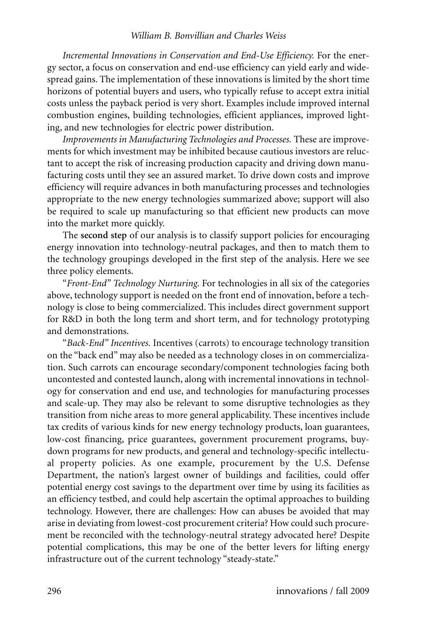#### *William B. Bonvillian and Charles Weiss*

*Incremental Innovations in Conservation and End-Use Efficiency.* For the energy sector, a focus on conservation and end-use efficiency can yield early and widespread gains. The implementation of these innovations is limited by the short time horizons of potential buyers and users, who typically refuse to accept extra initial costs unless the payback period is very short. Examples include improved internal combustion engines, building technologies, efficient appliances, improved lighting, and new technologies for electric power distribution.

*Improvements in Manufacturing Technologies and Processes.* These are improvements for which investment may be inhibited because cautious investors are reluctant to accept the risk of increasing production capacity and driving down manufacturing costs until they see an assured market. To drive down costs and improve efficiency will require advances in both manufacturing processes and technologies appropriate to the new energy technologies summarized above; support will also be required to scale up manufacturing so that efficient new products can move into the market more quickly.

The **second step** of our analysis is to classify support policies for encouraging energy innovation into technology-neutral packages, and then to match them to the technology groupings developed in the first step of the analysis. Here we see three policy elements.

"*Front-End" Technology Nurturing.* For technologies in all six of the categories above, technology support is needed on the front end of innovation, before a technology is close to being commercialized. This includes direct government support for R&D in both the long term and short term, and for technology prototyping and demonstrations.

"*Back-End" Incentives.* Incentives (carrots) to encourage technology transition on the "back end" may also be needed as a technology closes in on commercialization. Such carrots can encourage secondary/component technologies facing both uncontested and contested launch, along with incremental innovations in technology for conservation and end use, and technologies for manufacturing processes and scale-up. They may also be relevant to some disruptive technologies as they transition from niche areas to more general applicability. These incentives include tax credits of various kinds for new energy technology products, loan guarantees, low-cost financing, price guarantees, government procurement programs, buydown programs for new products, and general and technology-specific intellectual property policies. As one example, procurement by the U.S. Defense Department, the nation's largest owner of buildings and facilities, could offer potential energy cost savings to the department over time by using its facilities as an efficiency testbed, and could help ascertain the optimal approaches to building technology. However, there are challenges: How can abuses be avoided that may arise in deviating from lowest-cost procurement criteria? How could such procurement be reconciled with the technology-neutral strategy advocated here? Despite potential complications, this may be one of the better levers for lifting energy infrastructure out of the current technology "steady-state."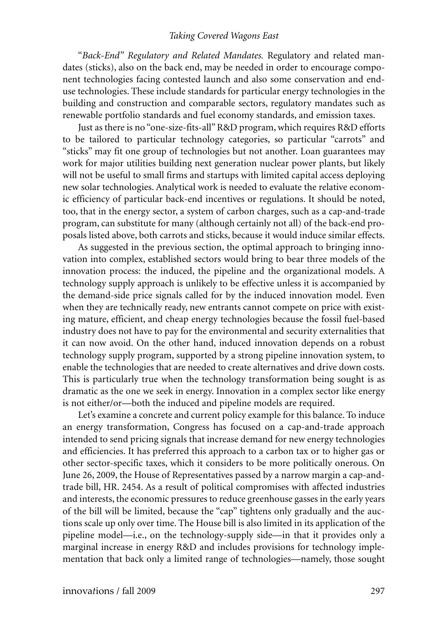#### *Taking Covered Wagons East*

"*Back-End" Regulatory and Related Mandates.* Regulatory and related mandates (sticks), also on the back end, may be needed in order to encourage component technologies facing contested launch and also some conservation and enduse technologies. These include standards for particular energy technologies in the building and construction and comparable sectors, regulatory mandates such as renewable portfolio standards and fuel economy standards, and emission taxes.

Just as there is no "one-size-fits-all" R&D program, which requires R&D efforts to be tailored to particular technology categories, so particular "carrots" and "sticks" may fit one group of technologies but not another. Loan guarantees may work for major utilities building next generation nuclear power plants, but likely will not be useful to small firms and startups with limited capital access deploying new solar technologies. Analytical work is needed to evaluate the relative economic efficiency of particular back-end incentives or regulations. It should be noted, too, that in the energy sector, a system of carbon charges, such as a cap-and-trade program, can substitute for many (although certainly not all) of the back-end proposals listed above, both carrots and sticks, because it would induce similar effects.

As suggested in the previous section, the optimal approach to bringing innovation into complex, established sectors would bring to bear three models of the innovation process: the induced, the pipeline and the organizational models. A technology supply approach is unlikely to be effective unless it is accompanied by the demand-side price signals called for by the induced innovation model. Even when they are technically ready, new entrants cannot compete on price with existing mature, efficient, and cheap energy technologies because the fossil fuel-based industry does not have to pay for the environmental and security externalities that it can now avoid. On the other hand, induced innovation depends on a robust technology supply program, supported by a strong pipeline innovation system, to enable the technologies that are needed to create alternatives and drive down costs. This is particularly true when the technology transformation being sought is as dramatic as the one we seek in energy. Innovation in a complex sector like energy is not either/or—both the induced and pipeline models are required.

Let's examine a concrete and current policy example for this balance. To induce an energy transformation, Congress has focused on a cap-and-trade approach intended to send pricing signals that increase demand for new energy technologies and efficiencies. It has preferred this approach to a carbon tax or to higher gas or other sector-specific taxes, which it considers to be more politically onerous. On June 26, 2009, the House of Representatives passed by a narrow margin a cap-andtrade bill, HR. 2454. As a result of political compromises with affected industries and interests, the economic pressures to reduce greenhouse gasses in the early years of the bill will be limited, because the "cap" tightens only gradually and the auctions scale up only over time. The House bill is also limited in its application of the pipeline model—i.e., on the technology-supply side—in that it provides only a marginal increase in energy R&D and includes provisions for technology implementation that back only a limited range of technologies—namely, those sought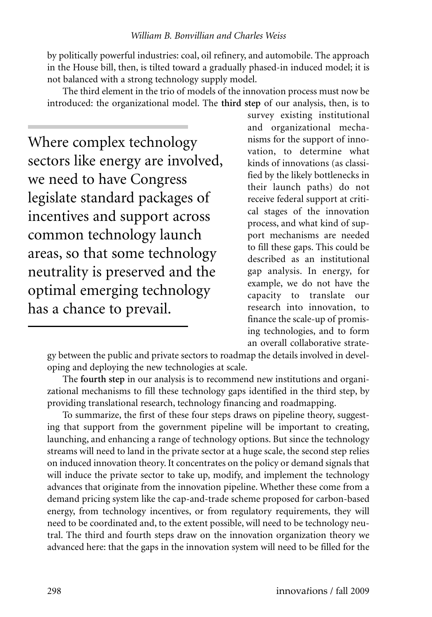by politically powerful industries: coal, oil refinery, and automobile. The approach in the House bill, then, is tilted toward a gradually phased-in induced model; it is not balanced with a strong technology supply model.

The third element in the trio of models of the innovation process must now be introduced: the organizational model. The **third step** of our analysis, then, is to

Where complex technology sectors like energy are involved, we need to have Congress legislate standard packages of incentives and support across common technology launch areas, so that some technology neutrality is preserved and the optimal emerging technology has a chance to prevail.

survey existing institutional and organizational mechanisms for the support of innovation, to determine what kinds of innovations (as classified by the likely bottlenecks in their launch paths) do not receive federal support at critical stages of the innovation process, and what kind of support mechanisms are needed to fill these gaps. This could be described as an institutional gap analysis. In energy, for example, we do not have the capacity to translate our research into innovation, to finance the scale-up of promising technologies, and to form an overall collaborative strate-

gy between the public and private sectors to roadmap the details involved in developing and deploying the new technologies at scale.

The **fourth step** in our analysis is to recommend new institutions and organizational mechanisms to fill these technology gaps identified in the third step, by providing translational research, technology financing and roadmapping.

To summarize, the first of these four steps draws on pipeline theory, suggesting that support from the government pipeline will be important to creating, launching, and enhancing a range of technology options. But since the technology streams will need to land in the private sector at a huge scale, the second step relies on induced innovation theory. It concentrates on the policy or demand signals that will induce the private sector to take up, modify, and implement the technology advances that originate from the innovation pipeline. Whether these come from a demand pricing system like the cap-and-trade scheme proposed for carbon-based energy, from technology incentives, or from regulatory requirements, they will need to be coordinated and, to the extent possible, will need to be technology neutral. The third and fourth steps draw on the innovation organization theory we advanced here: that the gaps in the innovation system will need to be filled for the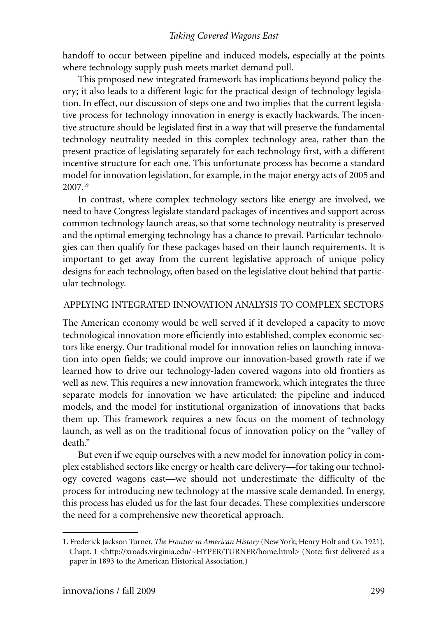#### *Taking Covered Wagons East*

handoff to occur between pipeline and induced models, especially at the points where technology supply push meets market demand pull.

This proposed new integrated framework has implications beyond policy theory; it also leads to a different logic for the practical design of technology legislation. In effect, our discussion of steps one and two implies that the current legislative process for technology innovation in energy is exactly backwards. The incentive structure should be legislated first in a way that will preserve the fundamental technology neutrality needed in this complex technology area, rather than the present practice of legislating separately for each technology first, with a different incentive structure for each one. This unfortunate process has become a standard model for innovation legislation, for example, in the major energy acts of 2005 and 2007.19

In contrast, where complex technology sectors like energy are involved, we need to have Congress legislate standard packages of incentives and support across common technology launch areas, so that some technology neutrality is preserved and the optimal emerging technology has a chance to prevail. Particular technologies can then qualify for these packages based on their launch requirements. It is important to get away from the current legislative approach of unique policy designs for each technology, often based on the legislative clout behind that particular technology.

#### APPLYING INTEGRATED INNOVATION ANALYSIS TO COMPLEX SECTORS

The American economy would be well served if it developed a capacity to move technological innovation more efficiently into established, complex economic sectors like energy. Our traditional model for innovation relies on launching innovation into open fields; we could improve our innovation-based growth rate if we learned how to drive our technology-laden covered wagons into old frontiers as well as new. This requires a new innovation framework, which integrates the three separate models for innovation we have articulated: the pipeline and induced models, and the model for institutional organization of innovations that backs them up. This framework requires a new focus on the moment of technology launch, as well as on the traditional focus of innovation policy on the "valley of death."

But even if we equip ourselves with a new model for innovation policy in complex established sectors like energy or health care delivery—for taking our technology covered wagons east—we should not underestimate the difficulty of the process for introducing new technology at the massive scale demanded. In energy, this process has eluded us for the last four decades. These complexities underscore the need for a comprehensive new theoretical approach.

<sup>1.</sup> Frederick Jackson Turner, *The Frontier in American History* (New York; Henry Holt and Co. 1921), Chapt. 1 <http://xroads.virginia.edu/~HYPER/TURNER/home.html> (Note: first delivered as a paper in 1893 to the American Historical Association.)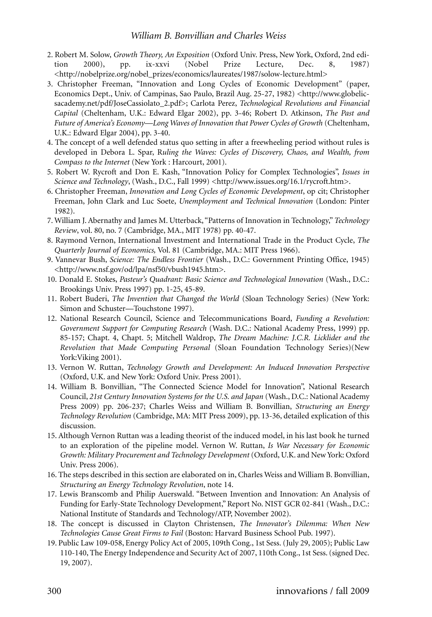#### *William B. Bonvillian and Charles Weiss*

- 2. Robert M. Solow, *Growth Theory, An Exposition* (Oxford Univ. Press, New York, Oxford, 2nd edition 2000), pp. ix-xxvi (Nobel Prize Lecture, Dec. 8, 1987) <http://nobelprize.org/nobel\_prizes/economics/laureates/1987/solow-lecture.html>
- 3. Christopher Freeman, "Innovation and Long Cycles of Economic Development" (paper, Economics Dept., Univ. of Campinas, Sao Paulo, Brazil Aug. 25-27, 1982) <http://www.globelicsacademy.net/pdf/JoseCassiolato\_2.pdf>; Carlota Perez, *Technological Revolutions and Financial Capital* (Cheltenham, U.K.: Edward Elgar 2002), pp. 3-46; Robert D. Atkinson, *The Past and Future of America's Economy—Long Waves of Innovation that Power Cycles of Growth* (Cheltenham, U.K.: Edward Elgar 2004), pp. 3-40.
- 4. The concept of a well defended status quo setting in after a freewheeling period without rules is developed in Debora L. Spar, R*uling the Waves: Cycles of Discovery, Chaos, and Wealth, from Compass to the Internet* (New York : Harcourt, 2001).
- 5. Robert W. Rycroft and Don E. Kash, "Innovation Policy for Complex Technologies", *Issues in Science and Technology*, (Wash., D.C., Fall 1999) <http://www.issues.org/16.1/rycroft.htm>.
- 6. Christopher Freeman, *Innovation and Long Cycles of Economic Development*, op cit; Christopher Freeman, John Clark and Luc Soete, *Unemployment and Technical Innovation* (London: Pinter 1982).
- 7. William J. Abernathy and James M. Utterback, "Patterns of Innovation in Technology," *Technology Review*, vol. 80, no. 7 (Cambridge, MA., MIT 1978) pp. 40-47.
- 8. Raymond Vernon, International Investment and International Trade in the Product Cycle, *The Quarterly Journal of Economics,* Vol. 81 (Cambridge, MA.: MIT Press 1966).
- 9. Vannevar Bush, *Science: The Endless Frontier* (Wash., D.C.: Government Printing Office, 1945) <http://www.nsf.gov/od/lpa/nsf50/vbush1945.htm>.
- 10. Donald E. Stokes, *Pasteur's Quadrant: Basic Science and Technological Innovation* (Wash., D.C.: Brookings Univ. Press 1997) pp. 1-25, 45-89.
- 11. Robert Buderi, *The Invention that Changed the World* (Sloan Technology Series) (New York: Simon and Schuster—Touchstone 1997).
- 12. National Research Council, Science and Telecommunications Board, *Funding a Revolution: Government Support for Computing Research* (Wash. D.C.: National Academy Press, 1999) pp. 85-157; Chapt. 4, Chapt. 5; Mitchell Waldrop, *The Dream Machine: J.C.R. Licklider and the Revolution that Made Computing Personal* (Sloan Foundation Technology Series)(New York: Viking 2001).
- 13. Vernon W. Ruttan, *Technology Growth and Development: An Induced Innovation Perspective* (Oxford, U.K. and New York: Oxford Univ. Press 2001).
- 14. William B. Bonvillian, "The Connected Science Model for Innovation", National Research Council, *21st Century Innovation Systems for the U.S. and Japan* (Wash., D.C.: National Academy Press 2009) pp. 206-237; Charles Weiss and William B. Bonvillian, *Structuring an Energy Technology Revolution* (Cambridge, MA: MIT Press 2009), pp. 13-36, detailed explication of this discussion.
- 15. Although Vernon Ruttan was a leading theorist of the induced model, in his last book he turned to an exploration of the pipeline model. Vernon W. Ruttan, *Is War Necessary for Economic Growth: Military Procurement and Technology Development* (Oxford, U.K. and NewYork: Oxford Univ. Press 2006).
- 16. The steps described in this section are elaborated on in, Charles Weiss and William B. Bonvillian, *Structuring an Energy Technology Revolution*, note 14.
- 17. Lewis Branscomb and Philip Auerswald. "Between Invention and Innovation: An Analysis of Funding for Early-State Technology Development," Report No. NIST GCR 02-841 (Wash., D.C.: National Institute of Standards and Technology/ATP, November 2002).
- 18. The concept is discussed in Clayton Christensen, *The Innovator's Dilemma: When New Technologies Cause Great Firms to Fail* (Boston: Harvard Business School Pub. 1997).
- 19. Public Law 109-058, Energy Policy Act of 2005, 109th Cong., 1st Sess.(July 29, 2005); Public Law 110-140, The Energy Independence and Security Act of 2007, 110th Cong., 1st Sess.(signed Dec. 19, 2007).